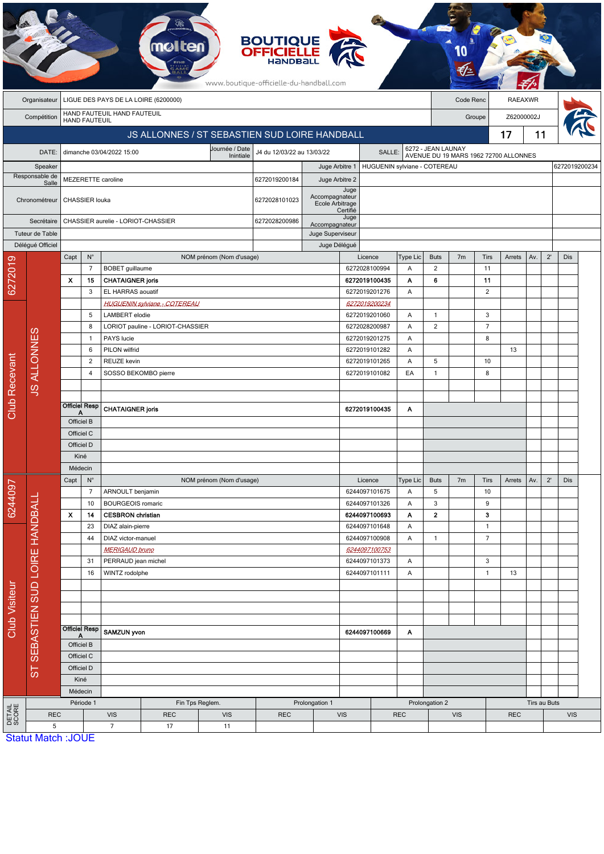|                      |                                                                   |                             |                                                     |                                                           |                                               |                             | <b>BOUTIQUE</b><br><b>OFFICIELLE</b><br>HANDBALL<br>www.boutique-officielle-du-handball.com |                          |                 |                                |                |                              |                                                             |                   |              |              |              |               |  |
|----------------------|-------------------------------------------------------------------|-----------------------------|-----------------------------------------------------|-----------------------------------------------------------|-----------------------------------------------|-----------------------------|---------------------------------------------------------------------------------------------|--------------------------|-----------------|--------------------------------|----------------|------------------------------|-------------------------------------------------------------|-------------------|--------------|--------------|--------------|---------------|--|
|                      | LIGUE DES PAYS DE LA LOIRE (6200000)<br>Code Renc<br>Organisateur |                             |                                                     |                                                           |                                               |                             |                                                                                             |                          |                 |                                |                |                              | <b>RAEAXWR</b>                                              |                   |              |              |              |               |  |
|                      | Compétition                                                       | HAND FAUTEUIL HAND FAUTEUIL |                                                     |                                                           |                                               |                             |                                                                                             |                          |                 |                                |                |                              |                                                             | Groupe            | Z62000002J   |              |              |               |  |
|                      |                                                                   |                             | <b>HAND FAUTEUIL</b>                                |                                                           |                                               |                             |                                                                                             |                          |                 |                                |                |                              |                                                             |                   | 11           |              |              |               |  |
|                      |                                                                   |                             |                                                     |                                                           | JS ALLONNES / ST SEBASTIEN SUD LOIRE HANDBALL |                             |                                                                                             |                          |                 |                                |                |                              |                                                             |                   | 17           |              |              |               |  |
|                      | DATE:                                                             |                             |                                                     | dimanche 03/04/2022 15:00                                 |                                               | Journée / Date<br>Inintiale | J4 du 12/03/22 au 13/03/22                                                                  |                          |                 | SALLE:                         |                |                              | 6272 - JEAN LAUNAY<br>AVENUE DU 19 MARS 1962 72700 ALLONNES |                   |              |              |              |               |  |
|                      | Speaker                                                           |                             |                                                     |                                                           |                                               |                             |                                                                                             | Juge Arbitre 1           |                 |                                |                | HUGUENIN sylviane - COTEREAU |                                                             |                   |              |              |              | 6272019200234 |  |
|                      | Responsable de<br>Salle                                           |                             |                                                     | <b>MEZERETTE caroline</b>                                 |                                               | 6272019200184               |                                                                                             | Juge Arbitre 2           |                 |                                |                |                              |                                                             |                   |              |              |              |               |  |
|                      | Chronométreur                                                     |                             | CHASSIER louka                                      |                                                           |                                               | 6272028101023               | Accompagnateur<br>Ecole Arbitrage                                                           | Juge<br>Certifié         |                 |                                |                |                              |                                                             |                   |              |              |              |               |  |
|                      | Secrétaire                                                        |                             | CHASSIER aurelie - LORIOT-CHASSIER<br>6272028200986 |                                                           |                                               |                             |                                                                                             | Accompagnateur           | Juge            |                                |                |                              |                                                             |                   |              |              |              |               |  |
|                      | Tuteur de Table                                                   |                             |                                                     |                                                           |                                               |                             |                                                                                             | Juge Superviseur         |                 |                                |                |                              |                                                             |                   |              |              |              |               |  |
|                      | Délégué Officiel                                                  |                             |                                                     |                                                           |                                               |                             |                                                                                             | Juge Délégué             |                 |                                |                |                              |                                                             |                   |              |              |              |               |  |
|                      |                                                                   | Capt                        | $\mathsf{N}^\circ$                                  |                                                           |                                               | NOM prénom (Nom d'usage)    |                                                                                             |                          |                 | Licence                        | Type Lic       | <b>Buts</b>                  | 7 <sub>m</sub>                                              | <b>Tirs</b>       | Arrets       | Av.          | $2^{\prime}$ | Dis           |  |
|                      |                                                                   | Х                           | $\overline{7}$<br>15                                | <b>BOBET</b> guillaume<br><b>CHATAIGNER joris</b>         |                                               |                             |                                                                                             |                          |                 | 6272028100994<br>6272019100435 | Α<br>Α         | $\overline{2}$<br>6          |                                                             | 11<br>11          |              |              |              |               |  |
| 6272019              |                                                                   |                             | 3                                                   | EL HARRAS aouatif                                         |                                               |                             |                                                                                             |                          |                 | 6272019201276                  | Α              |                              |                                                             | $\sqrt{2}$        |              |              |              |               |  |
|                      |                                                                   |                             |                                                     |                                                           | <b>HUGUENIN sylviane - COTEREAU</b>           |                             |                                                                                             |                          |                 | 6272019200234                  |                |                              |                                                             |                   |              |              |              |               |  |
|                      |                                                                   | 5<br>8                      |                                                     | <b>LAMBERT</b> elodie                                     |                                               |                             |                                                                                             |                          |                 | 6272019201060                  | Α              | $\mathbf{1}$                 |                                                             | $\sqrt{3}$        |              |              |              |               |  |
|                      |                                                                   |                             |                                                     |                                                           | LORIOT pauline - LORIOT-CHASSIER              |                             |                                                                                             |                          |                 | 6272028200987                  | Α              | $\overline{2}$               |                                                             | $\overline{7}$    |              |              |              |               |  |
|                      |                                                                   |                             | $\mathbf{1}$                                        | PAYS lucie                                                |                                               |                             |                                                                                             |                          |                 | 6272019201275<br>Α             |                |                              |                                                             | 8                 |              |              |              |               |  |
|                      |                                                                   |                             | 6                                                   | PILON wilfrid                                             |                                               |                             |                                                                                             |                          |                 | 6272019101282                  | Α              |                              |                                                             |                   | 13           |              |              |               |  |
|                      |                                                                   |                             | $\overline{2}$                                      |                                                           | REUZE kevin                                   |                             |                                                                                             |                          |                 | 6272019101265<br>Α             |                |                              |                                                             | 10                |              |              |              |               |  |
|                      | <b>JS ALLONNES</b>                                                |                             | $\overline{4}$                                      |                                                           | SOSSO BEKOMBO pierre                          |                             |                                                                                             |                          |                 | 6272019101082<br>EA            |                | $\mathbf{1}$                 |                                                             | 8                 |              |              |              |               |  |
| <b>Club Recevant</b> |                                                                   |                             |                                                     |                                                           |                                               |                             |                                                                                             |                          |                 |                                |                |                              |                                                             |                   |              |              |              |               |  |
|                      |                                                                   |                             | <b>Officiel Resp</b>                                |                                                           |                                               |                             |                                                                                             |                          |                 |                                |                |                              |                                                             |                   |              |              |              |               |  |
|                      |                                                                   |                             | Α                                                   | <b>CHATAIGNER joris</b>                                   |                                               |                             |                                                                                             |                          |                 | 6272019100435                  | Α              |                              |                                                             |                   |              |              |              |               |  |
|                      |                                                                   | Officiel B<br>Officiel C    |                                                     |                                                           |                                               |                             |                                                                                             |                          |                 |                                |                |                              |                                                             |                   |              |              |              |               |  |
|                      |                                                                   | Officiel D                  |                                                     |                                                           |                                               |                             |                                                                                             |                          |                 |                                |                |                              |                                                             |                   |              |              |              |               |  |
|                      |                                                                   | Kiné                        |                                                     |                                                           |                                               |                             |                                                                                             |                          |                 |                                |                |                              |                                                             |                   |              |              |              |               |  |
|                      |                                                                   | Médecin                     |                                                     |                                                           |                                               |                             |                                                                                             |                          |                 |                                |                |                              |                                                             |                   |              |              |              |               |  |
|                      |                                                                   | $\mathsf{N}^\circ$<br>Capt  |                                                     |                                                           | NOM prénom (Nom d'usage)                      |                             |                                                                                             | Licence                  | <b>Type Lic</b> | <b>Buts</b>                    | 7m             | Tirs                         | Arrets                                                      | Av.               | $2^{\prime}$ | Dis          |              |               |  |
| 6244097              |                                                                   |                             | $\overline{7}$                                      | ARNOULT benjamin                                          |                                               |                             |                                                                                             |                          |                 | 6244097101675                  | Α              | 5                            |                                                             | 10                |              |              |              |               |  |
|                      |                                                                   |                             | 10                                                  | <b>BOURGEOIS romaric</b>                                  |                                               |                             |                                                                                             |                          |                 | 6244097101326                  | Α              | $\mathbf{3}$                 |                                                             | 9                 |              |              |              |               |  |
|                      |                                                                   | X<br>14                     |                                                     | <b>CESBRON</b> christian                                  |                                               |                             |                                                                                             |                          |                 | 6244097100693                  | Α              | $\mathbf{2}$                 |                                                             | 3                 |              |              |              |               |  |
|                      |                                                                   | 23                          |                                                     | DIAZ alain-pierre                                         |                                               |                             |                                                                                             |                          |                 | 6244097101648                  | Α              |                              |                                                             | $\mathbf{1}$      |              |              |              |               |  |
| <b>Club Visiteur</b> | SEBASTIEN SUD LOIRE HANDBALL                                      |                             | 44                                                  | DIAZ victor-manuel                                        |                                               |                             |                                                                                             |                          |                 | 6244097100908                  | A              | $\mathbf{1}$                 |                                                             | $\overline{7}$    |              |              |              |               |  |
|                      |                                                                   |                             |                                                     | <b>MERIGAUD bruno</b>                                     |                                               |                             |                                                                                             | 6244097100753            |                 |                                |                |                              |                                                             |                   |              |              |              |               |  |
|                      |                                                                   |                             | 31<br>PERRAUD jean michel<br>16<br>WINTZ rodolphe   |                                                           |                                               |                             | 6244097101373                                                                               |                          |                 |                                | Α              |                              |                                                             | 3<br>$\mathbf{1}$ | 13           |              |              |               |  |
|                      |                                                                   |                             |                                                     |                                                           |                                               |                             |                                                                                             | 6244097101111<br>Α       |                 |                                |                |                              |                                                             |                   |              |              |              |               |  |
|                      |                                                                   |                             |                                                     |                                                           |                                               |                             |                                                                                             |                          |                 |                                |                |                              |                                                             |                   |              |              |              |               |  |
|                      |                                                                   |                             |                                                     |                                                           |                                               |                             |                                                                                             |                          |                 |                                |                |                              |                                                             |                   |              |              |              |               |  |
|                      |                                                                   |                             |                                                     |                                                           |                                               |                             |                                                                                             |                          |                 |                                |                |                              |                                                             |                   |              |              |              |               |  |
|                      |                                                                   |                             | <b>Officiel Resp</b><br>A                           | <b>SAMZUN yvon</b>                                        |                                               |                             |                                                                                             | 6244097100669<br>A       |                 |                                |                |                              |                                                             |                   |              |              |              |               |  |
|                      |                                                                   |                             | Officiel B                                          |                                                           |                                               |                             |                                                                                             |                          |                 |                                |                |                              |                                                             |                   |              |              |              |               |  |
|                      | $5\overline{1}$                                                   |                             | Officiel C                                          |                                                           |                                               |                             |                                                                                             |                          |                 |                                |                |                              |                                                             |                   |              |              |              |               |  |
|                      |                                                                   |                             | Officiel D                                          |                                                           |                                               |                             |                                                                                             |                          |                 |                                |                |                              |                                                             |                   |              |              |              |               |  |
|                      |                                                                   |                             | Kiné                                                |                                                           |                                               |                             |                                                                                             |                          |                 |                                |                |                              |                                                             |                   |              |              |              |               |  |
|                      |                                                                   |                             | Médecin                                             |                                                           | Prolongation 1                                |                             |                                                                                             |                          |                 |                                |                |                              |                                                             |                   |              |              |              |               |  |
| DETAIL<br>SCORE      | <b>REC</b>                                                        |                             | Période 1                                           | Fin Tps Reglem.<br><b>VIS</b><br><b>VIS</b><br><b>REC</b> |                                               |                             | <b>REC</b>                                                                                  | <b>VIS</b><br><b>REC</b> |                 |                                | Prolongation 2 |                              |                                                             | <b>REC</b>        |              | Tirs au Buts | <b>VIS</b>   |               |  |
|                      | 5                                                                 |                             |                                                     | $\overline{7}$                                            | 17                                            | 11                          |                                                                                             |                          |                 |                                |                |                              | <b>VIS</b>                                                  |                   |              |              |              |               |  |
|                      | <b>Statut Match: JOUE</b>                                         |                             |                                                     |                                                           |                                               |                             |                                                                                             |                          |                 |                                |                |                              |                                                             |                   |              |              |              |               |  |